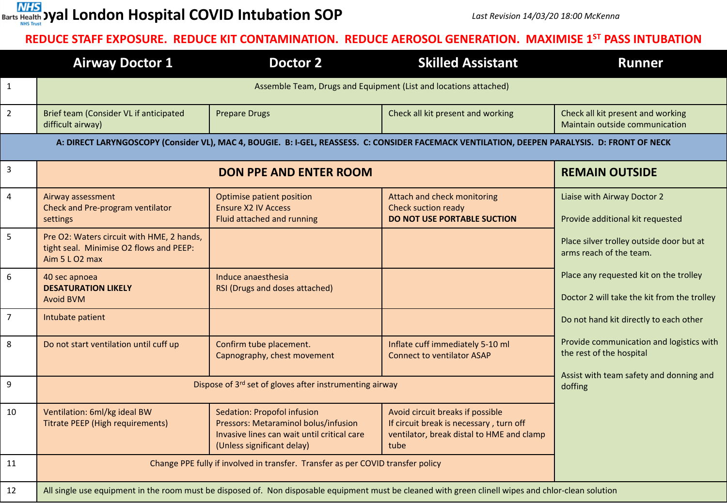

## **REDUCE STAFF EXPOSURE. REDUCE KIT CONTAMINATION. REDUCE AEROSOL GENERATION. MAXIMISE 1ST PASS INTUBATION**

|                                                                                                                                               | <b>Airway Doctor 1</b>                                                                                                                               | Doctor 2                                                                                                                                                | <b>Skilled Assistant</b>                                                                                                         | <b>Runner</b>                                                                         |  |  |  |  |  |  |  |
|-----------------------------------------------------------------------------------------------------------------------------------------------|------------------------------------------------------------------------------------------------------------------------------------------------------|---------------------------------------------------------------------------------------------------------------------------------------------------------|----------------------------------------------------------------------------------------------------------------------------------|---------------------------------------------------------------------------------------|--|--|--|--|--|--|--|
| $\mathbf{1}$                                                                                                                                  |                                                                                                                                                      |                                                                                                                                                         |                                                                                                                                  |                                                                                       |  |  |  |  |  |  |  |
| $\overline{2}$                                                                                                                                | Brief team (Consider VL if anticipated<br>difficult airway)                                                                                          | <b>Prepare Drugs</b>                                                                                                                                    | Check all kit present and working                                                                                                | Check all kit present and working<br>Maintain outside communication                   |  |  |  |  |  |  |  |
| A: DIRECT LARYNGOSCOPY (Consider VL), MAC 4, BOUGIE. B: I-GEL, REASSESS. C: CONSIDER FACEMACK VENTILATION, DEEPEN PARALYSIS. D: FRONT OF NECK |                                                                                                                                                      |                                                                                                                                                         |                                                                                                                                  |                                                                                       |  |  |  |  |  |  |  |
| $\overline{3}$                                                                                                                                |                                                                                                                                                      | <b>REMAIN OUTSIDE</b>                                                                                                                                   |                                                                                                                                  |                                                                                       |  |  |  |  |  |  |  |
| $\overline{4}$                                                                                                                                | Airway assessment<br>Check and Pre-program ventilator<br>settings                                                                                    | Optimise patient position<br><b>Ensure X2 IV Access</b><br>Fluid attached and running                                                                   | Attach and check monitoring<br><b>Check suction ready</b><br><b>DO NOT USE PORTABLE SUCTION</b>                                  | Liaise with Airway Doctor 2<br>Provide additional kit requested                       |  |  |  |  |  |  |  |
| 5                                                                                                                                             | Pre O2: Waters circuit with HME, 2 hands,<br>tight seal. Minimise O2 flows and PEEP:<br>Aim 5 L O2 max                                               |                                                                                                                                                         |                                                                                                                                  | Place silver trolley outside door but at<br>arms reach of the team.                   |  |  |  |  |  |  |  |
| $\boldsymbol{6}$                                                                                                                              | 40 sec apnoea<br><b>DESATURATION LIKELY</b><br><b>Avoid BVM</b>                                                                                      | Induce anaesthesia<br>RSI (Drugs and doses attached)                                                                                                    |                                                                                                                                  | Place any requested kit on the trolley<br>Doctor 2 will take the kit from the trolley |  |  |  |  |  |  |  |
| $\overline{7}$                                                                                                                                | Intubate patient                                                                                                                                     |                                                                                                                                                         |                                                                                                                                  | Do not hand kit directly to each other                                                |  |  |  |  |  |  |  |
| 8                                                                                                                                             | Do not start ventilation until cuff up                                                                                                               | Confirm tube placement.<br>Capnography, chest movement                                                                                                  | Inflate cuff immediately 5-10 ml<br><b>Connect to ventilator ASAP</b>                                                            | Provide communication and logistics with<br>the rest of the hospital                  |  |  |  |  |  |  |  |
| 9                                                                                                                                             | Dispose of 3rd set of gloves after instrumenting airway                                                                                              | Assist with team safety and donning and<br>doffing                                                                                                      |                                                                                                                                  |                                                                                       |  |  |  |  |  |  |  |
| 10                                                                                                                                            | Ventilation: 6ml/kg ideal BW<br><b>Titrate PEEP (High requirements)</b>                                                                              | <b>Sedation: Propofol infusion</b><br>Pressors: Metaraminol bolus/infusion<br>Invasive lines can wait until critical care<br>(Unless significant delay) | Avoid circuit breaks if possible<br>If circuit break is necessary, turn off<br>ventilator, break distal to HME and clamp<br>tube |                                                                                       |  |  |  |  |  |  |  |
| 11                                                                                                                                            | Change PPE fully if involved in transfer. Transfer as per COVID transfer policy                                                                      |                                                                                                                                                         |                                                                                                                                  |                                                                                       |  |  |  |  |  |  |  |
| 12                                                                                                                                            | All single use equipment in the room must be disposed of. Non disposable equipment must be cleaned with green clinell wipes and chlor-clean solution |                                                                                                                                                         |                                                                                                                                  |                                                                                       |  |  |  |  |  |  |  |